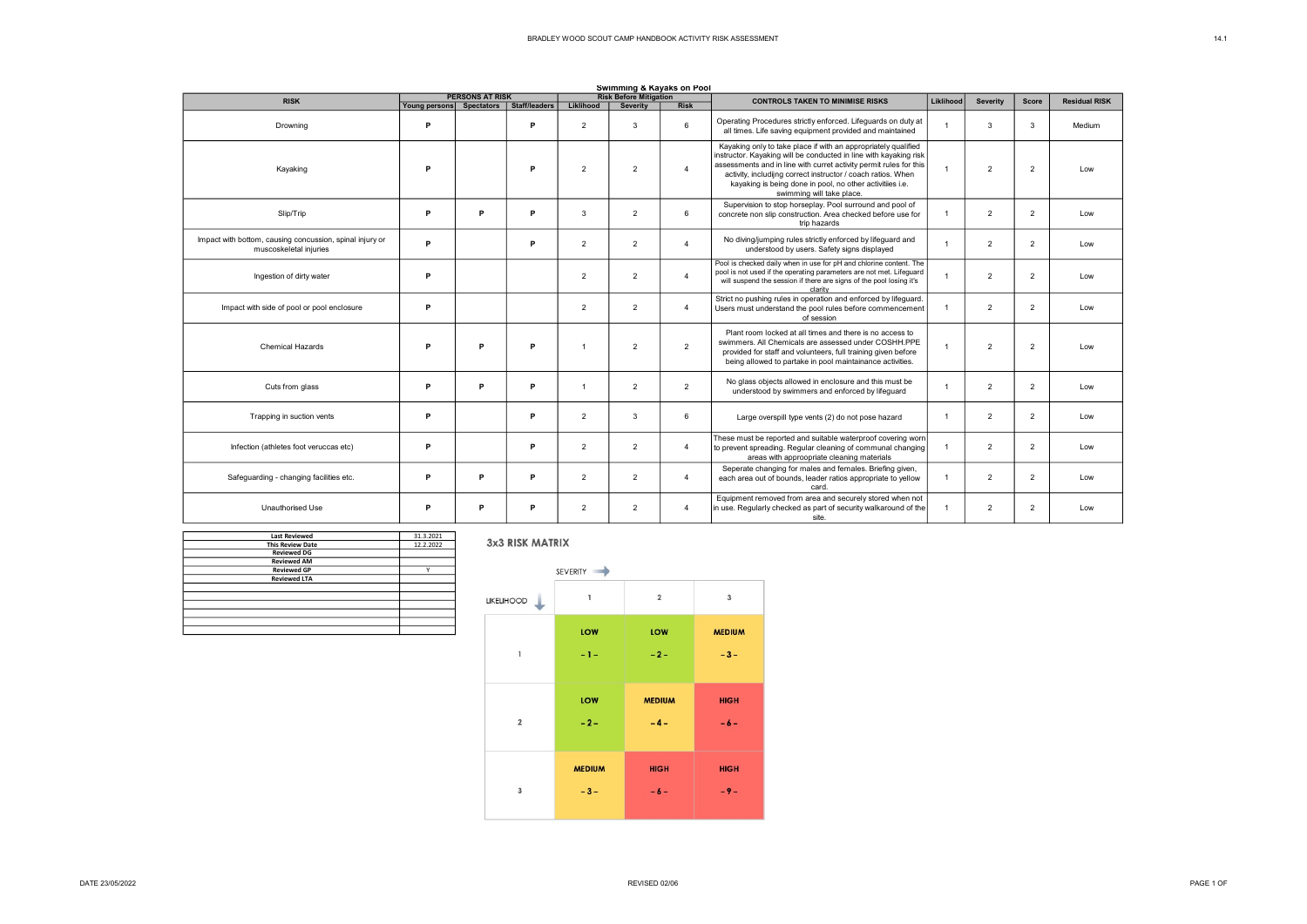| Swimming & Kayaks on Pool                                                          |                               |                        |               |                |                                                  |                |                                                                                                                                                                                                                                                                                                                                                                     |                |                 |                |                      |
|------------------------------------------------------------------------------------|-------------------------------|------------------------|---------------|----------------|--------------------------------------------------|----------------|---------------------------------------------------------------------------------------------------------------------------------------------------------------------------------------------------------------------------------------------------------------------------------------------------------------------------------------------------------------------|----------------|-----------------|----------------|----------------------|
| <b>RISK</b>                                                                        |                               | <b>PERSONS AT RISK</b> | Staff/leaders | Liklihood      | <b>Risk Before Mitigation</b><br><b>Severity</b> | <b>Risk</b>    | <b>CONTROLS TAKEN TO MINIMISE RISKS</b>                                                                                                                                                                                                                                                                                                                             | Liklihood      | <b>Severity</b> | <b>Score</b>   | <b>Residual RISK</b> |
| Drowning                                                                           | Young persons Spectators<br>P |                        | P             | $\overline{2}$ | 3                                                | 6              | Operating Procedures strictly enforced. Lifeguards on duty at<br>all times. Life saving equipment provided and maintained                                                                                                                                                                                                                                           |                | 3               | 3              | Medium               |
| Kayaking                                                                           | P                             |                        | P             | $\overline{2}$ | $\overline{2}$                                   | $\Delta$       | Kayaking only to take place if with an appropriately qualified<br>instructor. Kayaking will be conducted in line with kayaking risk<br>assessments and in line with curret activity permit rules for this<br>activity, includijng correct instructor / coach ratios. When<br>kayaking is being done in pool, no other activitiies i.e.<br>swimming will take place. | 1              | $\overline{2}$  | $\overline{2}$ | Low                  |
| Slip/Trip                                                                          | P                             | P                      | P             | 3              | $\overline{2}$                                   | 6              | Supervision to stop horseplay. Pool surround and pool of<br>concrete non slip construction. Area checked before use for<br>trip hazards                                                                                                                                                                                                                             | -1             | $\overline{2}$  | $\overline{2}$ | Low                  |
| Impact with bottom, causing concussion, spinal injury or<br>muscoskeletal injuries | P                             |                        | P             | $\overline{2}$ | $\overline{2}$                                   | 4              | No diving/jumping rules strictly enforced by lifeguard and<br>understood by users. Safety signs displayed                                                                                                                                                                                                                                                           | $\overline{1}$ | $\overline{2}$  | $\overline{2}$ | Low                  |
| Ingestion of dirty water                                                           | P                             |                        |               | $\overline{2}$ | $\overline{2}$                                   | $\overline{4}$ | Pool is checked daily when in use for pH and chlorine content. The<br>pool is not used if the operating parameters are not met. Lifeguard<br>will suspend the session if there are signs of the pool losing it's<br>clarity                                                                                                                                         |                | $\overline{2}$  | $\overline{2}$ | Low                  |
| Impact with side of pool or pool enclosure                                         | P                             |                        |               | $\overline{c}$ | $\overline{2}$                                   | $\overline{4}$ | Strict no pushing rules in operation and enforced by lifeguard.<br>Users must understand the pool rules before commencement<br>of session                                                                                                                                                                                                                           | -1             | $\overline{2}$  | $\overline{2}$ | Low                  |
| <b>Chemical Hazards</b>                                                            | P                             | P                      | P             | $\overline{1}$ | $\overline{2}$                                   | $\overline{2}$ | Plant room locked at all times and there is no access to<br>swimmers. All Chemicals are assessed under COSHH.PPE<br>provided for staff and volunteers, full training given before<br>being allowed to partake in pool maintainance activities.                                                                                                                      | $\overline{1}$ | $\overline{2}$  | $\overline{2}$ | Low                  |
| Cuts from glass                                                                    | P                             | P                      | Þ             | $\mathbf{1}$   | $\overline{2}$                                   | $\overline{2}$ | No glass objects allowed in enclosure and this must be<br>understood by swimmers and enforced by lifeguard                                                                                                                                                                                                                                                          | $\overline{1}$ | $\overline{2}$  | $\overline{2}$ | Low                  |
| Trapping in suction vents                                                          | P                             |                        | P             | $\overline{2}$ | 3                                                | 6              | Large overspill type vents (2) do not pose hazard                                                                                                                                                                                                                                                                                                                   | $\overline{1}$ | $\overline{2}$  | $\overline{2}$ | Low                  |
| Infection (athletes foot veruccas etc)                                             | P                             |                        | P             | $\overline{2}$ | $\overline{2}$                                   | $\overline{4}$ | These must be reported and suitable waterproof covering worn<br>to prevent spreading. Regular cleaning of communal changing<br>areas with approopriate cleaning materials                                                                                                                                                                                           | -1             | $\overline{2}$  | $\overline{2}$ | Low                  |
| Safeguarding - changing facilities etc.                                            | P                             | P                      | Þ             | $\overline{2}$ | $\overline{2}$                                   | $\overline{4}$ | Seperate changing for males and females. Briefing given,<br>each area out of bounds, leader ratios appropriate to yellow<br>card.                                                                                                                                                                                                                                   | $\mathbf{1}$   | $\overline{2}$  | $\overline{2}$ | Low                  |
| Unauthorised Use                                                                   | P                             | P                      | P             | $\overline{2}$ | $\overline{2}$                                   | $\overline{4}$ | Equipment removed from area and securely stored when not<br>in use. Regularly checked as part of security walkaround of the<br>site.                                                                                                                                                                                                                                | -1             | $\overline{2}$  | $\overline{2}$ | Low                  |

| <b>Last Reviewed</b>    | 31.3.2021 |
|-------------------------|-----------|
| <b>This Review Date</b> | 12.2.2022 |
| <b>Reviewed DG</b>      |           |
| <b>Reviewed AM</b>      |           |
| <b>Reviewed GP</b>      | v         |
| <b>Reviewed LTA</b>     |           |
|                         |           |
|                         |           |
|                         |           |
|                         |           |
|                         |           |
|                         |           |

## 3x3 RISK MATRIX

|             | SEVERITY      |                |               |  |  |  |  |  |  |
|-------------|---------------|----------------|---------------|--|--|--|--|--|--|
| LIKELIHOOD  | $\mathbf{1}$  | $\overline{2}$ | 3             |  |  |  |  |  |  |
| 1           | LOW           | LOW            | <b>MEDIUM</b> |  |  |  |  |  |  |
|             | $-1-$         | $-2-$          | $-3-$         |  |  |  |  |  |  |
| $\mathbf 2$ | LOW           | <b>MEDIUM</b>  | <b>HIGH</b>   |  |  |  |  |  |  |
|             | $-2-$         | $-4-$          | $-6-$         |  |  |  |  |  |  |
| 3           | <b>MEDIUM</b> | <b>HIGH</b>    | <b>HIGH</b>   |  |  |  |  |  |  |
|             | $-3-$         | $-6-$          | $-9-$         |  |  |  |  |  |  |